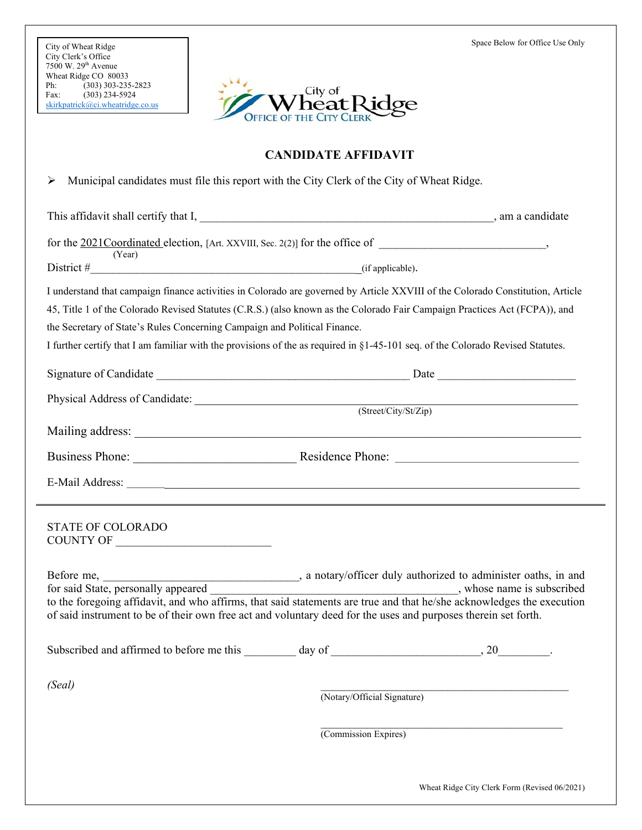

## **CANDIDATE AFFIDAVIT**

Municipal candidates must file this report with the City Clerk of the City of Wheat Ridge.

This affidavit shall certify that I, \_\_\_\_\_\_\_\_\_\_\_\_\_\_\_\_\_\_\_\_\_\_\_\_\_\_\_\_\_\_\_\_\_\_\_\_\_\_\_\_\_\_\_\_\_\_\_\_\_\_\_, am a candidate

|        | for the 2021 Coordinated election, [Art. XXVIII, Sec. 2(2)] for the office of |  |
|--------|-------------------------------------------------------------------------------|--|
| (Year) |                                                                               |  |

District  $\#$  (if applicable).

I understand that campaign finance activities in Colorado are governed by Article XXVIII of the Colorado Constitution, Article

45, Title 1 of the Colorado Revised Statutes (C.R.S.) (also known as the Colorado Fair Campaign Practices Act (FCPA)), and the Secretary of State's Rules Concerning Campaign and Political Finance.

I further certify that I am familiar with the provisions of the as required in §1-45-101 seq. of the Colorado Revised Statutes.

| Physical Address of Candidate: (Street/City/St/Zip)                                                                                                                                                                                                                                                                   |                             |  |  |
|-----------------------------------------------------------------------------------------------------------------------------------------------------------------------------------------------------------------------------------------------------------------------------------------------------------------------|-----------------------------|--|--|
|                                                                                                                                                                                                                                                                                                                       |                             |  |  |
| Business Phone: Residence Phone: Residence Chone:                                                                                                                                                                                                                                                                     |                             |  |  |
|                                                                                                                                                                                                                                                                                                                       |                             |  |  |
| <u> 2001 - Andrea Andrew American American American American American American American American American America</u><br>STATE OF COLORADO                                                                                                                                                                            |                             |  |  |
| whose name is subscribed.<br>for said State, personally appeared _________<br>to the foregoing affidavit, and who affirms, that said statements are true and that he/she acknowledges the execution<br>of said instrument to be of their own free act and voluntary deed for the uses and purposes therein set forth. |                             |  |  |
|                                                                                                                                                                                                                                                                                                                       |                             |  |  |
| (Seal)                                                                                                                                                                                                                                                                                                                | (Notary/Official Signature) |  |  |

 $\mathcal{L}_\text{max}$  and  $\mathcal{L}_\text{max}$  and  $\mathcal{L}_\text{max}$  and  $\mathcal{L}_\text{max}$ (Commission Expires)